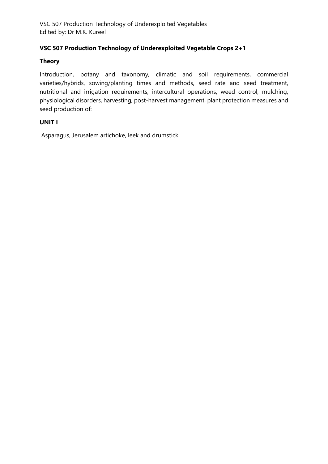#### **VSC 507 Production Technology of Underexploited Vegetable Crops 2+1**

#### **Theory**

Introduction, botany and taxonomy, climatic and soil requirements, commercial varieties/hybrids, sowing/planting times and methods, seed rate and seed treatment, nutritional and irrigation requirements, intercultural operations, weed control, mulching, physiological disorders, harvesting, post-harvest management, plant protection measures and seed production of:

#### **UNIT I**

Asparagus, Jerusalem artichoke, leek and drumstick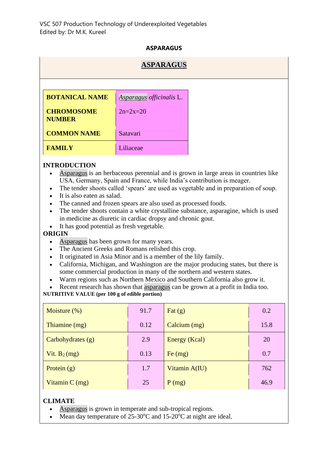#### **ASPARAGUS**

# **[ASPARAGUS](http://ecoursesonline.iasri.res.in/mod/page/view.php?id=12181) BOTANICAL NAME** *[Asparagus](http://ecoursesonline.iasri.res.in/mod/page/view.php?id=12181) officinalis* L. **CHROMOSOME NUMBER**  $2n=2x=20$ **COMMON NAME** Satavari **FAMILY** Liliaceae

#### **INTRODUCTION**

- [Asparagus](http://ecoursesonline.iasri.res.in/mod/page/view.php?id=12181) is an herbaceous perennial and is grown in large areas in countries like USA, Germany, Spain and France, while India's contribution is meager.
- The tender shoots called 'spears' are used as vegetable and in preparation of soup.
- It is also eaten as salad.
- The canned and frozen spears are also used as processed foods.
- The tender shoots contain a white crystalline substance, asparagine, which is used in medicine as diuretic in cardiac dropsy and chronic gout.
- It has good potential as fresh vegetable.

#### **ORIGIN**

- [Asparagus](http://ecoursesonline.iasri.res.in/mod/page/view.php?id=12181) has been grown for many years.
- The Ancient Greeks and Romans relished this crop.
- It originated in Asia Minor and is a member of the lily family.
- California, Michigan, and Washington are the major producing states, but there is some commercial production in many of the northern and western states.
- Warm regions such as Northern Mexico and Southern California also grow it.
- Recent research has shown that [asparagus](http://ecoursesonline.iasri.res.in/mod/page/view.php?id=12181) can be grown at a profit in India too.

#### **NUTRITIVE VALUE (per 100 g of edible portion)**

| Moisture $(\%)$     | 91.7 | Fat $(g)$     | 0.2  |
|---------------------|------|---------------|------|
| Thiamine (mg)       | 0.12 | Calcium (mg)  | 15.8 |
| Carbohydrates $(g)$ | 2.9  | Energy (Kcal) | 20   |
| Vit. $B_2(mg)$      | 0.13 | Fe (mg)       | 0.7  |
| Protein $(g)$       | 1.7  | Vitamin A(IU) | 762  |
| Vitamin $C$ (mg)    | 25   | P(mg)         | 46.9 |

#### **CLIMATE**

- [Asparagus](http://ecoursesonline.iasri.res.in/mod/page/view.php?id=12181) is grown in temperate and sub-tropical regions.
- Mean day temperature of  $25\text{-}30\text{°C}$  and  $15\text{-}20\text{°C}$  at night are ideal.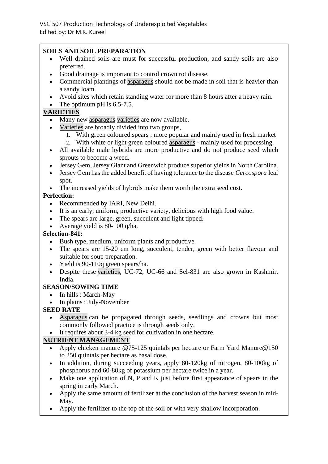#### **SOILS AND SOIL PREPARATION**

- Well drained soils are must for successful production, and sandy soils are also preferred.
- Good drainage is important to control crown rot disease.
- Commercial plantings of [asparagus](http://ecoursesonline.iasri.res.in/mod/page/view.php?id=12181) should not be made in soil that is heavier than a sandy loam.
- Avoid sites which retain standing water for more than 8 hours after a heavy rain.
- The optimum pH is  $6.5-7.5$ .

#### **[VARIETIES](http://ecoursesonline.iasri.res.in/mod/page/view.php?id=12053)**

- Many new [asparagus](http://ecoursesonline.iasri.res.in/mod/page/view.php?id=12181) [varieties](http://ecoursesonline.iasri.res.in/mod/page/view.php?id=12053) are now available.
- [Varieties](http://ecoursesonline.iasri.res.in/mod/page/view.php?id=12053) are broadly divided into two groups,
	- 1. With green coloured spears : more popular and mainly used in fresh market
	- 2. With white or light green coloured [asparagus](http://ecoursesonline.iasri.res.in/mod/page/view.php?id=12181) mainly used for processing.
- All available male hybrids are more productive and do not produce seed which sprouts to become a weed.
- Jersey Gem, Jersey Giant and Greenwich produce superior yields in North Carolina.
- Jersey Gem has the added benefit of having tolerance to the disease *Cercospora* leaf spot.
- The increased yields of hybrids make them worth the extra seed cost.

#### **Perfection:**

- Recommended by IARI, New Delhi.
- It is an early, uniform, productive variety, delicious with high food value.
- The spears are large, green, succulent and light tipped.
- Average yield is 80-100 q/ha.

#### **Selection-841:**

- Bush type, medium, uniform plants and productive.
- The spears are 15-20 cm long, succulent, tender, green with better flavour and suitable for soup preparation.
- Yield is 90-110q green spears/ha.
- Despite these [varieties,](http://ecoursesonline.iasri.res.in/mod/page/view.php?id=12053) UC-72, UC-66 and Sel-831 are also grown in Kashmir, India.

### **SEASON/SOWING TIME**

- In hills : March-May
- In plains : July-November

#### **SEED RATE**

- [Asparagus](http://ecoursesonline.iasri.res.in/mod/page/view.php?id=12181) can be propagated through seeds, seedlings and crowns but most commonly followed practice is through seeds only.
- It requires about 3-4 kg seed for cultivation in one hectare.

### **[NUTRIENT MANAGEMENT](http://ecoursesonline.iasri.res.in/mod/page/view.php?id=12010)**

- Apply chicken manure @75-125 quintals per hectare or Farm Yard Manure@150 to 250 quintals per hectare as basal dose.
- In addition, during succeeding years, apply 80-120kg of nitrogen, 80-100kg of phosphorus and 60-80kg of potassium per hectare twice in a year.
- Make one application of N, P and K just before first appearance of spears in the spring in early March.
- Apply the same amount of fertilizer at the conclusion of the harvest season in mid-May.
- Apply the fertilizer to the top of the soil or with very shallow incorporation.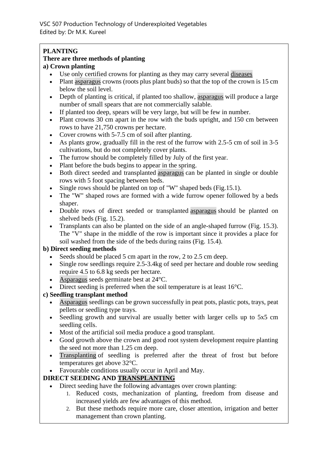#### **PLANTING**

### **There are three methods of planting**

#### **a) Crown planting**

- Use only certified crowns for planting as they may carry several [diseases](http://ecoursesonline.iasri.res.in/mod/page/view.php?id=12040)
- Plant [asparagus](http://ecoursesonline.iasri.res.in/mod/page/view.php?id=12181) crowns (roots plus plant buds) so that the top of the crown is 15 cm below the soil level.
- Depth of planting is critical, if planted too shallow, [asparagus](http://ecoursesonline.iasri.res.in/mod/page/view.php?id=12181) will produce a large number of small spears that are not commercially salable.
- If planted too deep, spears will be very large, but will be few in number.
- Plant crowns 30 cm apart in the row with the buds upright, and 150 cm between rows to have 21,750 crowns per hectare.
- Cover crowns with 5-7.5 cm of soil after planting.
- As plants grow, gradually fill in the rest of the furrow with 2.5-5 cm of soil in 3-5 cultivations, but do not completely cover plants.
- The furrow should be completely filled by July of the first year.
- Plant before the buds begins to appear in the spring.
- Both direct seeded and transplanted [asparagus](http://ecoursesonline.iasri.res.in/mod/page/view.php?id=12181) can be planted in single or double rows with 5 foot spacing between beds.
- Single rows should be planted on top of "W" shaped beds (Fig.15.1).
- The "W" shaped rows are formed with a wide furrow opener followed by a beds shaper.
- Double rows of direct seeded or transplanted [asparagus](http://ecoursesonline.iasri.res.in/mod/page/view.php?id=12181) should be planted on shelved beds (Fig. 15.2).
- Transplants can also be planted on the side of an angle-shaped furrow (Fig. 15.3). The "V" shape in the middle of the row is important since it provides a place for soil washed from the side of the beds during rains (Fig. 15.4).

#### **b) Direct seeding methods**

- Seeds should be placed 5 cm apart in the row, 2 to 2.5 cm deep.
- Single row seedlings require 2.5-3.4kg of seed per hectare and double row seeding require 4.5 to 6.8 kg seeds per hectare.
- [Asparagus](http://ecoursesonline.iasri.res.in/mod/page/view.php?id=12181) seeds germinate best at 24 °C.
- Direct seeding is preferred when the soil temperature is at least 16<sup>o</sup>C.

#### **c) Seedling transplant method**

- [Asparagus](http://ecoursesonline.iasri.res.in/mod/page/view.php?id=12181) seedlings can be grown successfully in peat pots, plastic pots, trays, peat pellets or seedling type trays.
- Seedling growth and survival are usually better with larger cells up to 5x5 cm seedling cells.
- Most of the artificial soil media produce a good transplant.
- Good growth above the crown and good root system development require planting the seed not more than 1.25 cm deep.
- [Transplanting](http://ecoursesonline.iasri.res.in/mod/page/view.php?id=12190) of seedling is preferred after the threat of frost but before temperatures get above 32°C.
- Favourable conditions usually occur in April and May.

#### **DIRECT SEEDING AND [TRANSPLANTING](http://ecoursesonline.iasri.res.in/mod/page/view.php?id=12190)**

- Direct seeding have the following advantages over crown planting:
	- 1. Reduced costs, mechanization of planting, freedom from disease and increased yields are few advantages of this method.
	- 2. But these methods require more care, closer attention, irrigation and better management than crown planting.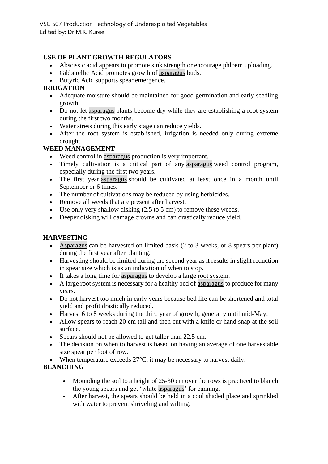#### **USE OF PLANT GROWTH REGULATORS**

- Abscissic acid appears to promote sink strength or encourage phloem uploading.
- Gibberellic Acid promotes growth of [asparagus](http://ecoursesonline.iasri.res.in/mod/page/view.php?id=12181) buds.
- Butyric Acid supports spear emergence.

#### **IRRIGATION**

- Adequate moisture should be maintained for good germination and early seedling growth.
- Do not let [asparagus](http://ecoursesonline.iasri.res.in/mod/page/view.php?id=12181) plants become dry while they are establishing a root system during the first two months.
- Water stress during this early stage can reduce yields.
- After the root system is established, irrigation is needed only during extreme drought.

#### **WEED MANAGEMENT**

- Weed control in [asparagus](http://ecoursesonline.iasri.res.in/mod/page/view.php?id=12181) production is very important.
- Timely cultivation is a critical part of any [asparagus](http://ecoursesonline.iasri.res.in/mod/page/view.php?id=12181) weed control program, especially during the first two years.
- The first year [asparagus](http://ecoursesonline.iasri.res.in/mod/page/view.php?id=12181) should be cultivated at least once in a month until September or 6 times.
- The number of cultivations may be reduced by using herbicides.
- Remove all weeds that are present after harvest.
- Use only very shallow disking  $(2.5 \text{ to } 5 \text{ cm})$  to remove these weeds.
- Deeper disking will damage crowns and can drastically reduce yield.

#### **HARVESTING**

- [Asparagus](http://ecoursesonline.iasri.res.in/mod/page/view.php?id=12181) can be harvested on limited basis (2 to 3 weeks, or 8 spears per plant) during the first year after planting.
- Harvesting should be limited during the second year as it results in slight reduction in spear size which is as an indication of when to stop.
- It takes a long time for [asparagus](http://ecoursesonline.iasri.res.in/mod/page/view.php?id=12181) to develop a large root system.
- A large root system is necessary for a healthy bed of [asparagus](http://ecoursesonline.iasri.res.in/mod/page/view.php?id=12181) to produce for many years.
- Do not harvest too much in early years because bed life can be shortened and total yield and profit drastically reduced.
- Harvest 6 to 8 weeks during the third year of growth, generally until mid-May.
- Allow spears to reach 20 cm tall and then cut with a knife or hand snap at the soil surface.
- Spears should not be allowed to get taller than 22.5 cm.
- The decision on when to harvest is based on having an average of one harvestable size spear per foot of row.
- When temperature exceeds  $27^{\circ}$ C, it may be necessary to harvest daily.

### **BLANCHING**

- Mounding the soil to a height of 25-30 cm over the rows is practiced to blanch the young spears and get 'white [asparagus'](http://ecoursesonline.iasri.res.in/mod/page/view.php?id=12181) for canning.
- After harvest, the spears should be held in a cool shaded place and sprinkled with water to prevent shriveling and wilting.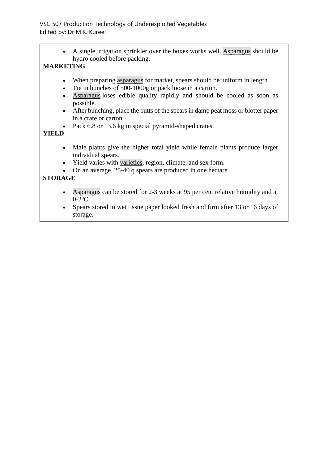• A single irrigation sprinkler over the boxes works well. [Asparagus](http://ecoursesonline.iasri.res.in/mod/page/view.php?id=12181) should be hydro cooled before packing.

### **MARKETING**

- When preparing [asparagus](http://ecoursesonline.iasri.res.in/mod/page/view.php?id=12181) for market, spears should be uniform in length.
- Tie in bunches of 500-1000g or pack loose in a carton.
- [Asparagus](http://ecoursesonline.iasri.res.in/mod/page/view.php?id=12181) loses edible quality rapidly and should be cooled as soon as possible.
- After bunching, place the butts of the spears in damp peat moss or blotter paper in a crate or carton.
- Pack 6.8 or 13.6 kg in special pyramid-shaped crates.

#### **YIELD**

- Male plants give the higher total yield while female plants produce larger individual spears.
- Yield varies with [varieties,](http://ecoursesonline.iasri.res.in/mod/page/view.php?id=12053) region, climate, and sex form.
- On an average, 25-40 q spears are produced in one hectare

### **STORAGE**

- [Asparagus](http://ecoursesonline.iasri.res.in/mod/page/view.php?id=12181) can be stored for 2-3 weeks at 95 per cent relative humidity and at  $0-2$ <sup>o</sup>C.
- Spears stored in wet tissue paper looked fresh and firm after 13 or 16 days of storage.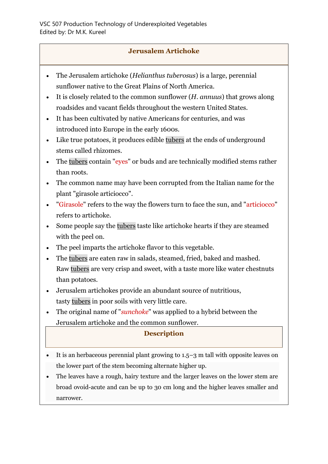### **Jerusalem Artichoke**

- The Jerusalem artichoke (*Helianthus tuberosus*) is a large, perennial sunflower native to the Great Plains of North America.
- It is closely related to the common sunflower (*H. annuus*) that grows along roadsides and vacant fields throughout the western United States.
- It has been cultivated by native Americans for centuries, and was introduced into Europe in the early 1600s.
- Like true potatoes, it produces edible [tubers](http://ecoursesonline.iasri.res.in/mod/page/view.php?id=13858) at the ends of underground stems called rhizomes.
- The [tubers](http://ecoursesonline.iasri.res.in/mod/page/view.php?id=13858) contain "eyes" or buds and are technically modified stems rather than roots.
- The common name may have been corrupted from the Italian name for the plant "girasole articiocco".
- "Girasole" refers to the way the flowers turn to face the sun, and "articiocco" refers to artichoke.
- Some people say the [tubers](http://ecoursesonline.iasri.res.in/mod/page/view.php?id=13858) taste like artichoke hearts if they are steamed with the peel on.
- The peel imparts the artichoke flavor to this vegetable.
- The [tubers](http://ecoursesonline.iasri.res.in/mod/page/view.php?id=13858) are eaten raw in salads, steamed, fried, baked and mashed. Raw [tubers](http://ecoursesonline.iasri.res.in/mod/page/view.php?id=13858) are very crisp and sweet, with a taste more like water chestnuts than potatoes.
- Jerusalem artichokes provide an abundant source of nutritious, tasty [tubers](http://ecoursesonline.iasri.res.in/mod/page/view.php?id=13858) in poor soils with very little care.
- The original name of "*sunchoke*" was applied to a hybrid between the Jerusalem artichoke and the common sunflower.

### **Description**

- It is an herbaceous perennial plant growing to 1.5–3 m tall with opposite leaves on the lower part of the stem becoming alternate higher up.
- The leaves have a rough, hairy texture and the larger leaves on the lower stem are broad ovoid-acute and can be up to 30 cm long and the higher leaves smaller and narrower.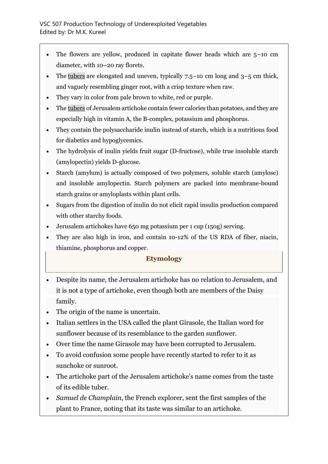- The flowers are yellow, produced in capitate flower heads which are  $5-10$  cm diameter, with 10–20 ray florets.
- The [tubers](http://ecoursesonline.iasri.res.in/mod/page/view.php?id=13858) are elongated and uneven, typically  $7.5$ –10 cm long and  $3$ –5 cm thick, and vaguely resembling ginger root, with a crisp texture when raw.
- They vary in color from pale brown to white, red or purple.
- The [tubers](http://ecoursesonline.iasri.res.in/mod/page/view.php?id=13858) of Jerusalem artichoke contain fewer calories than potatoes, and they are especially high in vitamin A, the B-complex, potassium and phosphorus.
- They contain the polysaccharide inulin instead of starch, which is a nutritious food for diabetics and hypoglycemics.
- The hydrolysis of inulin yields fruit sugar (D-fructose), while true insoluble starch (amylopectin) yields D-glucose.
- Starch (amylum) is actually composed of two polymers, soluble starch (amylose) and insoluble amylopectin. Starch polymers are packed into membrane-bound starch grains or amyloplasts within plant cells.
- Sugars from the digestion of inulin do not elicit rapid insulin production compared with other starchy foods.
- Jerusalem artichokes have 650 mg potassium per 1 cup (150g) serving.
- They are also high in iron, and contain 10-12% of the US RDA of fiber, niacin, thiamine, phosphorus and copper.

## **Etymology**

- Despite its name, the Jerusalem artichoke has no relation to Jerusalem, and it is not a type of artichoke, even though both are members of the Daisy family.
- The origin of the name is uncertain.
- Italian settlers in the USA called the plant Girasole, the Italian word for sunflower because of its resemblance to the garden sunflower.
- Over time the name Girasole may have been corrupted to Jerusalem.
- To avoid confusion some people have recently started to refer to it as sunchoke or sunroot.
- The artichoke part of the Jerusalem artichoke's name comes from the taste of its edible tuber.
- *Samuel de Champlain*, the French explorer, sent the first samples of the plant to France, noting that its taste was similar to an artichoke.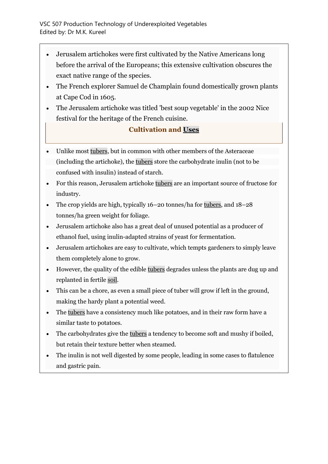- Jerusalem artichokes were first cultivated by the Native Americans long before the arrival of the Europeans; this extensive cultivation obscures the exact native range of the species.
- The French explorer Samuel de Champlain found domestically grown plants at Cape Cod in 1605.
- The Jerusalem artichoke was titled 'best soup vegetable' in the 2002 Nice festival for the heritage of the French cuisine.

### **Cultivation and [Uses](http://ecoursesonline.iasri.res.in/mod/page/view.php?id=13830)**

- Unlike most [tubers,](http://ecoursesonline.iasri.res.in/mod/page/view.php?id=13858) but in common with other members of the Asteraceae (including the artichoke), the [tubers](http://ecoursesonline.iasri.res.in/mod/page/view.php?id=13858) store the carbohydrate inulin (not to be confused with insulin) instead of starch.
- For this reason, Jerusalem artichoke [tubers](http://ecoursesonline.iasri.res.in/mod/page/view.php?id=13858) are an important source of fructose for industry.
- The crop yields are high, typically 16–20 tonnes/ha for [tubers,](http://ecoursesonline.iasri.res.in/mod/page/view.php?id=13858) and 18–28 tonnes/ha green weight for foliage.
- Jerusalem artichoke also has a great deal of unused potential as a producer of ethanol fuel, using inulin-adapted strains of yeast for fermentation.
- Jerusalem artichokes are easy to cultivate, which tempts gardeners to simply leave them completely alone to grow.
- However, the quality of the edible [tubers](http://ecoursesonline.iasri.res.in/mod/page/view.php?id=13858) degrades unless the plants are dug up and replanted in fertile [soil.](http://ecoursesonline.iasri.res.in/mod/page/view.php?id=13838)
- This can be a chore, as even a small piece of tuber will grow if left in the ground, making the hardy plant a potential weed.
- The [tubers](http://ecoursesonline.iasri.res.in/mod/page/view.php?id=13858) have a consistency much like potatoes, and in their raw form have a similar taste to potatoes.
- The carbohydrates give the [tubers](http://ecoursesonline.iasri.res.in/mod/page/view.php?id=13858) a tendency to become soft and mushy if boiled, but retain their texture better when steamed.
- The inulin is not well digested by some people, leading in some cases to flatulence and gastric pain.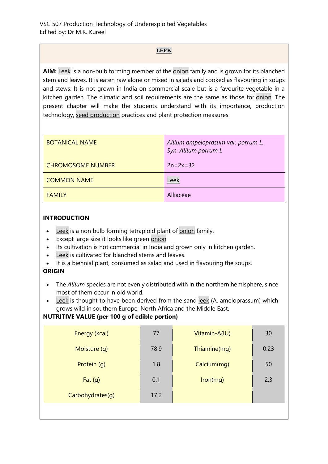#### **[LEEK](http://ecoursesonline.iasri.res.in/mod/page/view.php?id=12179)**

**AIM:** [Leek](http://ecoursesonline.iasri.res.in/mod/page/view.php?id=12179) is a non-bulb forming member of the [onion](http://ecoursesonline.iasri.res.in/mod/page/view.php?id=12178) family and is grown for its blanched stem and leaves. It is eaten raw alone or mixed in salads and cooked as flavouring in soups and stews. It is not grown in India on commercial scale but is a favourite vegetable in a kitchen garden. The climatic and soil requirements are the same as those for [onion.](http://ecoursesonline.iasri.res.in/mod/page/view.php?id=12178) The present chapter will make the students understand with its importance, production technology, [seed production](http://ecoursesonline.iasri.res.in/mod/page/view.php?id=12127) practices and plant protection measures.

| <b>BOTANICAL NAME</b>    | Allium ampeloprasum var. porrum L.<br>Syn. Allium porrum L |
|--------------------------|------------------------------------------------------------|
| <b>CHROMOSOME NUMBER</b> | $2n = 2x = 32$                                             |
| <b>COMMON NAME</b>       | Leek                                                       |
| <b>FAMILY</b>            | Alliaceae                                                  |

#### **INTRODUCTION**

- [Leek](http://ecoursesonline.iasri.res.in/mod/page/view.php?id=12179) is a non bulb forming tetraploid plant of [onion](http://ecoursesonline.iasri.res.in/mod/page/view.php?id=12178) family.
- Except large size it looks like green [onion.](http://ecoursesonline.iasri.res.in/mod/page/view.php?id=12178)
- Its cultivation is not commercial in India and grown only in kitchen garden.
- [Leek](http://ecoursesonline.iasri.res.in/mod/page/view.php?id=12179) is cultivated for blanched stems and leaves.
- It is a biennial plant, consumed as salad and used in flavouring the soups.

#### **ORIGIN**

- The *Allium* species are not evenly distributed with in the northern hemisphere, since most of them occur in old world.
- [Leek](http://ecoursesonline.iasri.res.in/mod/page/view.php?id=12179) is thought to have been derived from the sand [leek](http://ecoursesonline.iasri.res.in/mod/page/view.php?id=12179) (A. ameloprassum) which grows wild in southern Europe, North Africa and the Middle East.

#### **NUTRITIVE VALUE (per 100 g of edible portion)**

| Energy (kcal)    | 77   | Vitamin-A(IU) | 30   |
|------------------|------|---------------|------|
| Moisture (g)     | 78.9 | Thiamine(mg)  | 0.23 |
| Protein (q)      | 1.8  | Calcium(mg)   | 50   |
| Fat $(g)$        | 0.1  | lron(mg)      | 2.3  |
| Carbohydrates(g) | 17.2 |               |      |
|                  |      |               |      |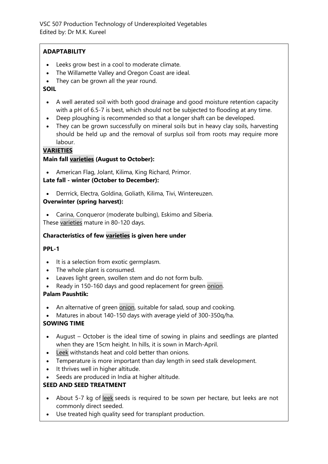#### **ADAPTABILITY**

- Leeks grow best in a cool to moderate climate.
- The Willamette Valley and Oregon Coast are ideal.
- They can be grown all the year round.

#### **SOIL**

- A well aerated soil with both good drainage and good moisture retention capacity with a pH of 6.5-7 is best, which should not be subjected to flooding at any time.
- Deep ploughing is recommended so that a longer shaft can be developed.
- They can be grown successfully on mineral soils but in heavy clay soils, harvesting should be held up and the removal of surplus soil from roots may require more labour.

#### **[VARIETIES](http://ecoursesonline.iasri.res.in/mod/page/view.php?id=12053)**

#### **Main fall [varieties](http://ecoursesonline.iasri.res.in/mod/page/view.php?id=12053) (August to October):**

• American Flag, Jolant, Kilima, King Richard, Primor.

#### **Late fall - winter (October to December):**

• Derrrick, Electra, Goldina, Goliath, Kilima, Tivi, Wintereuzen.

#### **Overwinter (spring harvest):**

• Carina, Conqueror (moderate bulbing), Eskimo and Siberia. These [varieties](http://ecoursesonline.iasri.res.in/mod/page/view.php?id=12053) mature in 80-120 days.

#### **Characteristics of few [varieties](http://ecoursesonline.iasri.res.in/mod/page/view.php?id=12053) is given here under**

#### **PPL-1**

- It is a selection from exotic germplasm.
- The whole plant is consumed.
- Leaves light green, swollen stem and do not form bulb.
- Ready in 150-160 days and good replacement for green [onion.](http://ecoursesonline.iasri.res.in/mod/page/view.php?id=12178)

#### **Palam Paushtik:**

- An alternative of green [onion,](http://ecoursesonline.iasri.res.in/mod/page/view.php?id=12178) suitable for salad, soup and cooking.
- Matures in about 140-150 days with average yield of 300-350q/ha.

#### **SOWING TIME**

- August October is the ideal time of sowing in plains and seedlings are planted when they are 15cm height. In hills, it is sown in March-April.
- [Leek](http://ecoursesonline.iasri.res.in/mod/page/view.php?id=12179) withstands heat and cold better than onions.
- Temperature is more important than day length in seed stalk development.
- It thrives well in higher altitude.
- Seeds are produced in India at higher altitude.

#### **SEED AND SEED TREATMENT**

- About 5-7 kg of [leek](http://ecoursesonline.iasri.res.in/mod/page/view.php?id=12179) seeds is required to be sown per hectare, but leeks are not commonly direct seeded.
- Use treated high quality seed for transplant production.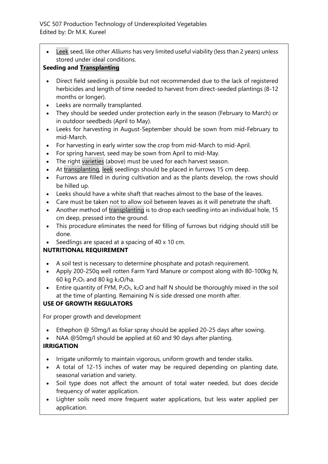• [Leek](http://ecoursesonline.iasri.res.in/mod/page/view.php?id=12179) seed, like other *Alliums* has very limited useful viability (less than 2 years) unless stored under ideal conditions.

#### **Seeding and [Transplanting](http://ecoursesonline.iasri.res.in/mod/page/view.php?id=12190)**

- Direct field seeding is possible but not recommended due to the lack of registered herbicides and length of time needed to harvest from direct-seeded plantings (8-12 months or longer).
- Leeks are normally transplanted.
- They should be seeded under protection early in the season (February to March) or in outdoor seedbeds (April to May).
- Leeks for harvesting in August-September should be sown from mid-February to mid-March.
- For harvesting in early winter sow the crop from mid-March to mid-April.
- For spring harvest, seed may be sown from April to mid-May.
- The right [varieties](http://ecoursesonline.iasri.res.in/mod/page/view.php?id=12053) (above) must be used for each harvest season.
- At [transplanting,](http://ecoursesonline.iasri.res.in/mod/page/view.php?id=12190) [leek](http://ecoursesonline.iasri.res.in/mod/page/view.php?id=12179) seedlings should be placed in furrows 15 cm deep.
- Furrows are filled in during cultivation and as the plants develop, the rows should be hilled up.
- Leeks should have a white shaft that reaches almost to the base of the leaves.
- Care must be taken not to allow soil between leaves as it will penetrate the shaft.
- Another method of [transplanting](http://ecoursesonline.iasri.res.in/mod/page/view.php?id=12190) is to drop each seedling into an individual hole, 15 cm deep, pressed into the ground.
- This procedure eliminates the need for filling of furrows but ridging should still be done.
- Seedlings are spaced at a spacing of 40 x 10 cm.

### **NUTRITIONAL REQUIREMENT**

- A soil test is necessary to determine phosphate and potash requirement.
- Apply 200-250q well rotten Farm Yard Manure or compost along with 80-100kg N, 60 kg  $P_2O_5$  and 80 kg  $k_2O/ha$ .
- Entire quantity of FYM,  $P_2O_5$ ,  $k_2O$  and half N should be thoroughly mixed in the soil at the time of planting. Remaining N is side dressed one month after.

### **USE OF GROWTH REGULATORS**

For proper growth and development

- Ethephon @ 50mg/l as foliar spray should be applied 20-25 days after sowing.
- NAA @50mg/l should be applied at 60 and 90 days after planting.

### **IRRIGATION**

- Irrigate uniformly to maintain vigorous, uniform growth and tender stalks.
- A total of 12-15 inches of water may be required depending on planting date, seasonal variation and variety.
- Soil type does not affect the amount of total water needed, but does decide frequency of water application.
- Lighter soils need more frequent water applications, but less water applied per application.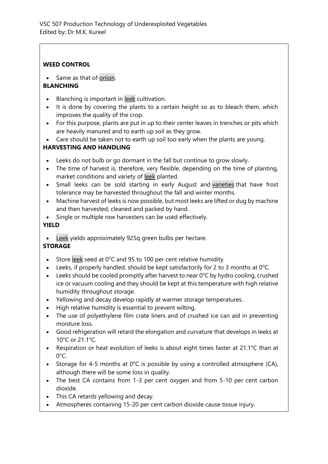#### **WEED CONTROL**

Same as that of [onion.](http://ecoursesonline.iasri.res.in/mod/page/view.php?id=12178)

#### **BLANCHING**

- Blanching is important in [leek](http://ecoursesonline.iasri.res.in/mod/page/view.php?id=12179) cultivation.
- It is done by covering the plants to a certain height so as to bleach them, which improves the quality of the crop.
- For this purpose, plants are put in up to their center leaves in trenches or pits which are heavily manured and to earth up soil as they grow.
- Care should be taken not to earth up soil too early when the plants are young.

### **HARVESTING AND HANDLING**

- Leeks do not bulb or go dormant in the fall but continue to grow slowly.
- The time of harvest is, therefore, very flexible, depending on the time of planting, market conditions and variety of [leek](http://ecoursesonline.iasri.res.in/mod/page/view.php?id=12179) planted.
- Small leeks can be sold starting in early August and [varieties](http://ecoursesonline.iasri.res.in/mod/page/view.php?id=12053) that have frost tolerance may be harvested throughout the fall and winter months.
- Machine harvest of leeks is now possible, but most leeks are lifted or dug by machine and then harvested, cleaned and packed by hand.
- Single or multiple row harvesters can be used effectively.

#### **YIELD**

[Leek](http://ecoursesonline.iasri.res.in/mod/page/view.php?id=12179) yields approximately 925q green bulbs per hectare.

### **STORAGE**

- Store [leek](http://ecoursesonline.iasri.res.in/mod/page/view.php?id=12179) seed at  $0^{\circ}$ C and 95 to 100 per cent relative humidity.
- Leeks, if properly handled, should be kept satisfactorily for 2 to 3 months at  $0^{\circ}$ C.
- Leeks should be cooled promptly after harvest to near  $0^{\circ}$ C by hydro cooling, crushed ice or vacuum cooling and they should be kept at this temperature with high relative humidity throughout storage.
- Yellowing and decay develop rapidly at warmer storage temperatures.
- High relative humidity is essential to prevent wilting.
- The use of polyethylene film crate liners and of crushed ice can aid in preventing moisture loss.
- Good refrigeration will retard the elongation and curvature that develops in leeks at 10 $^{\circ}$ C or 21.1 $^{\circ}$ C.
- Respiration or heat evolution of leeks is about eight times faster at 21.1 $\degree$ C than at  $0^{\circ}$ C.
- Storage for 4-5 months at  $0^{\circ}C$  is possible by using a controlled atmosphere (CA), although there will be some loss in quality.
- The best CA contains from 1-3 per cent oxygen and from 5-10 per cent carbon dioxide.
- This CA retards yellowing and decay.
- Atmospheres containing 15-20 per cent carbon dioxide cause tissue injury.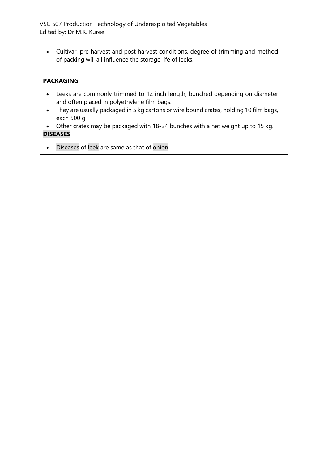• Cultivar, pre harvest and post harvest conditions, degree of trimming and method of packing will all influence the storage life of leeks.

### **PACKAGING**

- Leeks are commonly trimmed to 12 inch length, bunched depending on diameter and often placed in polyethylene film bags.
- They are usually packaged in 5 kg cartons or wire bound crates, holding 10 film bags, each 500 g
- Other crates may be packaged with 18-24 bunches with a net weight up to 15 kg. **[DISEASES](http://ecoursesonline.iasri.res.in/mod/page/view.php?id=12040)**

• [Diseases](http://ecoursesonline.iasri.res.in/mod/page/view.php?id=12040) of [leek](http://ecoursesonline.iasri.res.in/mod/page/view.php?id=12179) are same as that of [onion](http://ecoursesonline.iasri.res.in/mod/page/view.php?id=12178)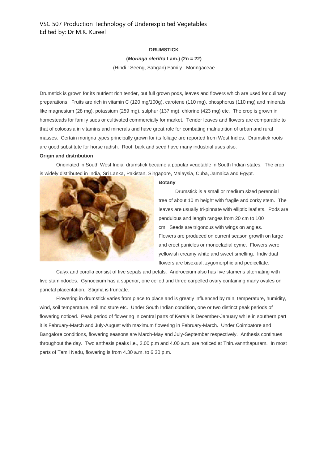#### **DRUMSTICK**

#### **(***Moringa olerifra* **Lam.) (2n = 22)**

(Hindi : Seeng, Sahgan) Family : Moringaceae

Drumstick is grown for its nutrient rich tender, but full grown pods, leaves and flowers which are used for culinary preparations. Fruits are rich in vitamin C (120 mg/100g), carotene (110 mg), phosphorus (110 mg) and minerals like magnesium (28 mg), potassium (259 mg), sulphur (137 mg), chlorine (423 mg) etc. The crop is grown in homesteads for family sues or cultivated commercially for market. Tender leaves and flowers are comparable to that of colocasia in vitamins and minerals and have great role for combating malnutrition of urban and rural masses. Certain morigna types principally grown for its foliage are reported from West Indies. Drumstick roots are good substitute for horse radish. Root, bark and seed have many industrial uses also.

#### **Origin and distribution**

 Originated in South West India, drumstick became a popular vegetable in South Indian states. The crop is widely distributed in India, Sri Lanka, Pakistan, Singapore, Malaysia, Cuba, Jamaica and Egypt.



#### **Botany**

 Drumstick is a small or medium sized perennial tree of about 10 m height with fragile and corky stem. The leaves are usually tri-pinnate with elliptic leaflets. Pods are pendulous and length ranges from 20 cm to 100 cm. Seeds are trigonous with wings on angles. Flowers are produced on current season growth on large and erect panicles or monocladial cyme. Flowers were yellowish creamy white and sweet smelling. Individual flowers are bisexual, zygomorphic and pedicellate.

 Calyx and corolla consist of five sepals and petals. Androecium also has five stamens alternating with five stamindodes. Gynoecium has a superior, one celled and three carpelled ovary containing many ovules on parietal placentation. Stigma is truncate.

 Flowering in drumstick varies from place to place and is greatly influenced by rain, temperature, humidity, wind, soil temperature, soil moisture etc. Under South Indian condition, one or two distinct peak periods of flowering noticed. Peak period of flowering in central parts of Kerala is December-January while in southern part it is February-March and July-August with maximum flowering in February-March. Under Coimbatore and Bangalore conditions, flowering seasons are March-May and July-September respectively. Anthesis continues throughout the day. Two anthesis peaks i.e., 2.00 p.m and 4.00 a.m. are noticed at Thiruvannthapuram. In most parts of Tamil Nadu, flowering is from 4.30 a.m. to 6.30 p.m.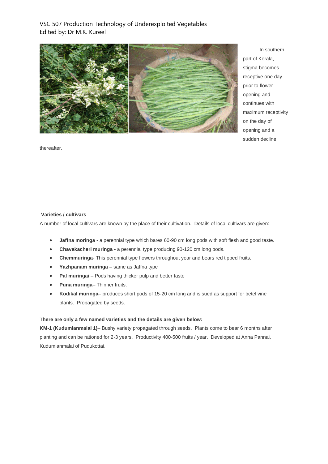

 In southern part of Kerala, stigma becomes receptive one day prior to flower opening and continues with maximum receptivity on the day of opening and a sudden decline

thereafter.

#### **Varieties / cultivars**

A number of local cultivars are known by the place of their cultivation. Details of local cultivars are given:

- **Jaffna moringa** *-* a perennial type which bares 60-90 cm long pods with soft flesh and good taste.
- **Chavakacheri muringa** *-* a perennial type producing 90-120 cm long pods.
- **Chemmuringa***-* This perennial type flowers throughout year and bears red tipped fruits.
- **Yazhpanam muringa** same as Jaffna type
- **Pal muringai** *–* Pods having thicker pulp and better taste
- **Puna muringa** Thinner fruits.
- **Kodikal muringa** produces short pods of 15-20 cm long and is sued as support for betel vine plants. Propagated by seeds.

#### **There are only a few named varieties and the details are given below:**

**KM-1 (Kudumianmalai 1)**– Bushy variety propagated through seeds. Plants come to bear 6 months after planting and can be rationed for 2-3 years. Productivity 400-500 fruits / year. Developed at Anna Pannai, Kudumianmalai of Pudukottai.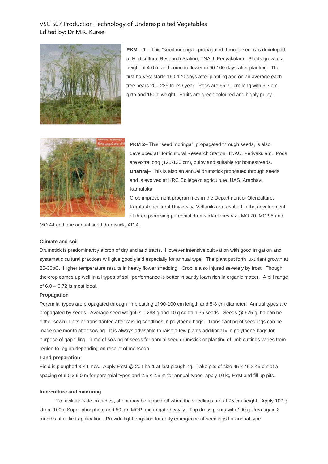

**PKM** – 1 **–** This "seed moringa", propagated through seeds is developed at Horticultural Research Station, TNAU, Periyakulam. Plants grow to a height of 4-6 m and come to flower in 90-100 days after planting. The first harvest starts 160-170 days after planting and on an average each tree bears 200-225 fruits / year. Pods are 65-70 cm long with 6.3 cm girth and 150 g weight. Fruits are green coloured and highly pulpy.



**PKM 2**– This "seed moringa", propagated through seeds, is also developed at Horticultural Research Station, TNAU, Periyakulam. Pods are extra long (125-130 cm), pulpy and suitable for homestreads. **Dhanraj**– This is also an annual drumstick propgated through seeds and is evolved at KRC College of agriculture, UAS, Arabhavi, Karnataka.

Crop improvement programmes in the Department of Olericulture, Kerala Agricultural Unviersity, Vellanikkara resulted in the development of three promising perennial drumstick clones *viz.,* MO 70, MO 95 and

MO 44 and one annual seed drumstick, AD 4.

#### **Climate and soil**

Drumstick is predominantly a crop of dry and arid tracts. However intensive cultivation with good irrigation and systematic cultural practices will give good yield especially for annual type. The plant put forth luxuriant growth at 25-30oC. Higher temperature results in heavy flower shedding. Crop is also injured severely by frost. Though the crop comes up well in all types of soil, performance is better in sandy loam rich in organic matter. A pH range of 6.0 – 6.72 is most ideal.

#### **Propagation**

Perennial types are propagated through limb cutting of 90-100 cm length and 5-8 cm diameter. Annual types are propagated by seeds. Average seed weight is 0.288 g and 10 g contain 35 seeds. Seeds @ 625 g/ ha can be either sown in pits or transplanted after raising seedlings in polythene bags. Transplanting of seedlings can be made one month after sowing. It is always advisable to raise a few plants additionally in polythene bags for purpose of gap filling. Time of sowing of seeds for annual seed drumstick or planting of limb cuttings varies from region to region depending on receipt of monsoon.

#### **Land preparation**

Field is ploughed 3-4 times. Apply FYM @ 20 t ha-1 at last ploughing. Take pits of size 45 x 45 x 45 cm at a spacing of 6.0 x 6.0 m for perennial types and 2.5 x 2.5 m for annual types, apply 10 kg FYM and fill up pits.

#### **Interculture and manuring**

 To facilitate side branches, shoot may be nipped off when the seedlings are at 75 cm height. Apply 100 g Urea, 100 g Super phosphate and 50 gm MOP and irrigate heavily. Top dress plants with 100 g Urea again 3 months after first application. Provide light irrigation for early emergence of seedlings for annual type.